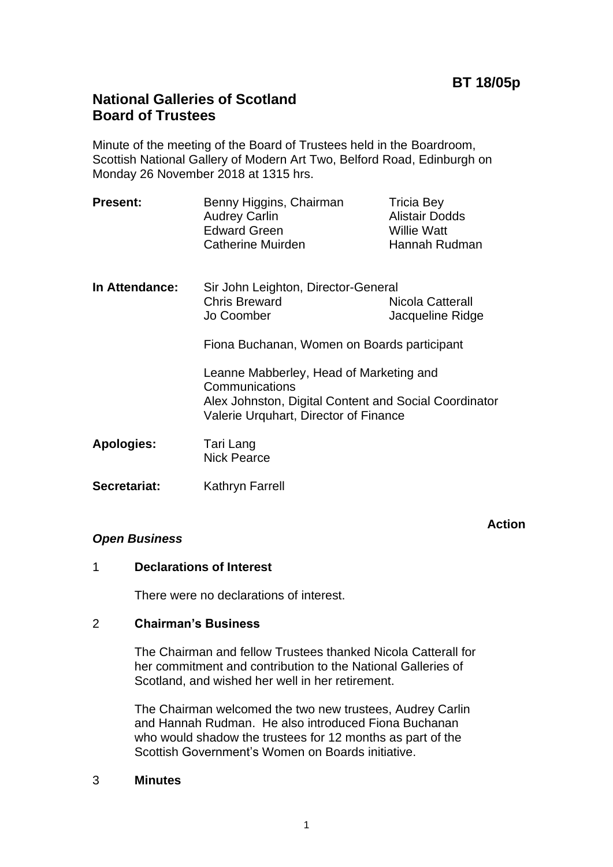# **National Galleries of Scotland Board of Trustees**

Minute of the meeting of the Board of Trustees held in the Boardroom, Scottish National Gallery of Modern Art Two, Belford Road, Edinburgh on Monday 26 November 2018 at 1315 hrs.

| <b>Present:</b> | Benny Higgins, Chairman<br><b>Audrey Carlin</b><br><b>Edward Green</b><br><b>Catherine Muirden</b> | <b>Tricia Bey</b><br><b>Alistair Dodds</b><br><b>Willie Watt</b><br>Hannah Rudman |
|-----------------|----------------------------------------------------------------------------------------------------|-----------------------------------------------------------------------------------|
|                 |                                                                                                    |                                                                                   |

**In Attendance:** Sir John Leighton, Director-General Chris Breward Nicola Catterall Jo Coomber Jacqueline Ridge

Fiona Buchanan, Women on Boards participant

Leanne Mabberley, Head of Marketing and Communications Alex Johnston, Digital Content and Social Coordinator Valerie Urquhart, Director of Finance

- **Apologies:** Tari Lang Nick Pearce
- **Secretariat:** Kathryn Farrell

# *Open Business*

**Action**

# 1 **Declarations of Interest**

There were no declarations of interest.

# 2 **Chairman's Business**

The Chairman and fellow Trustees thanked Nicola Catterall for her commitment and contribution to the National Galleries of Scotland, and wished her well in her retirement.

The Chairman welcomed the two new trustees, Audrey Carlin and Hannah Rudman. He also introduced Fiona Buchanan who would shadow the trustees for 12 months as part of the Scottish Government's Women on Boards initiative.

3 **Minutes**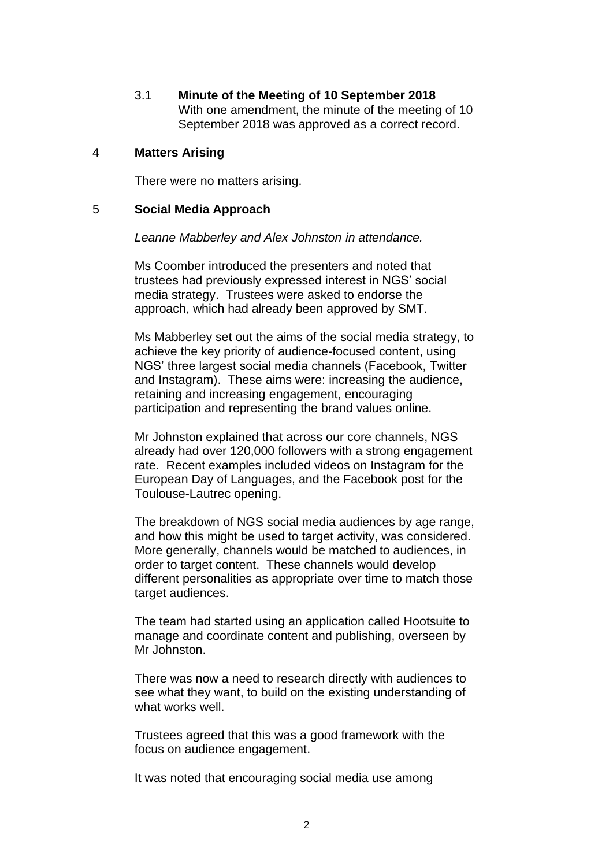3.1 **Minute of the Meeting of 10 September 2018** With one amendment, the minute of the meeting of 10 September 2018 was approved as a correct record.

### 4 **Matters Arising**

There were no matters arising.

### 5 **Social Media Approach**

*Leanne Mabberley and Alex Johnston in attendance.*

Ms Coomber introduced the presenters and noted that trustees had previously expressed interest in NGS' social media strategy. Trustees were asked to endorse the approach, which had already been approved by SMT.

Ms Mabberley set out the aims of the social media strategy, to achieve the key priority of audience-focused content, using NGS' three largest social media channels (Facebook, Twitter and Instagram). These aims were: increasing the audience, retaining and increasing engagement, encouraging participation and representing the brand values online.

Mr Johnston explained that across our core channels, NGS already had over 120,000 followers with a strong engagement rate. Recent examples included videos on Instagram for the European Day of Languages, and the Facebook post for the Toulouse-Lautrec opening.

The breakdown of NGS social media audiences by age range, and how this might be used to target activity, was considered. More generally, channels would be matched to audiences, in order to target content. These channels would develop different personalities as appropriate over time to match those target audiences.

The team had started using an application called Hootsuite to manage and coordinate content and publishing, overseen by Mr Johnston.

There was now a need to research directly with audiences to see what they want, to build on the existing understanding of what works well.

Trustees agreed that this was a good framework with the focus on audience engagement.

It was noted that encouraging social media use among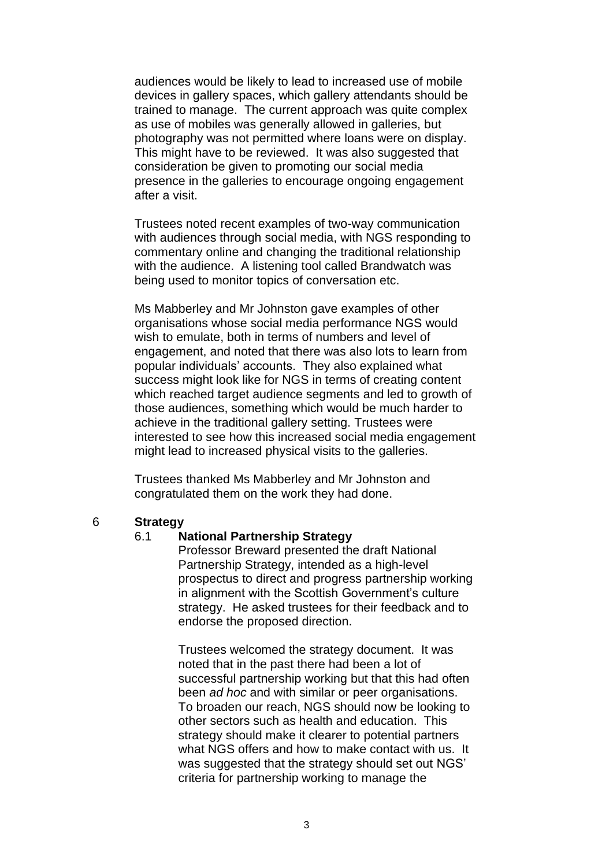audiences would be likely to lead to increased use of mobile devices in gallery spaces, which gallery attendants should be trained to manage. The current approach was quite complex as use of mobiles was generally allowed in galleries, but photography was not permitted where loans were on display. This might have to be reviewed. It was also suggested that consideration be given to promoting our social media presence in the galleries to encourage ongoing engagement after a visit.

Trustees noted recent examples of two-way communication with audiences through social media, with NGS responding to commentary online and changing the traditional relationship with the audience. A listening tool called Brandwatch was being used to monitor topics of conversation etc.

Ms Mabberley and Mr Johnston gave examples of other organisations whose social media performance NGS would wish to emulate, both in terms of numbers and level of engagement, and noted that there was also lots to learn from popular individuals' accounts. They also explained what success might look like for NGS in terms of creating content which reached target audience segments and led to growth of those audiences, something which would be much harder to achieve in the traditional gallery setting. Trustees were interested to see how this increased social media engagement might lead to increased physical visits to the galleries.

Trustees thanked Ms Mabberley and Mr Johnston and congratulated them on the work they had done.

#### 6 **Strategy**

### 6.1 **National Partnership Strategy**

Professor Breward presented the draft National Partnership Strategy, intended as a high-level prospectus to direct and progress partnership working in alignment with the Scottish Government's culture strategy. He asked trustees for their feedback and to endorse the proposed direction.

Trustees welcomed the strategy document. It was noted that in the past there had been a lot of successful partnership working but that this had often been *ad hoc* and with similar or peer organisations. To broaden our reach, NGS should now be looking to other sectors such as health and education. This strategy should make it clearer to potential partners what NGS offers and how to make contact with us. It was suggested that the strategy should set out NGS' criteria for partnership working to manage the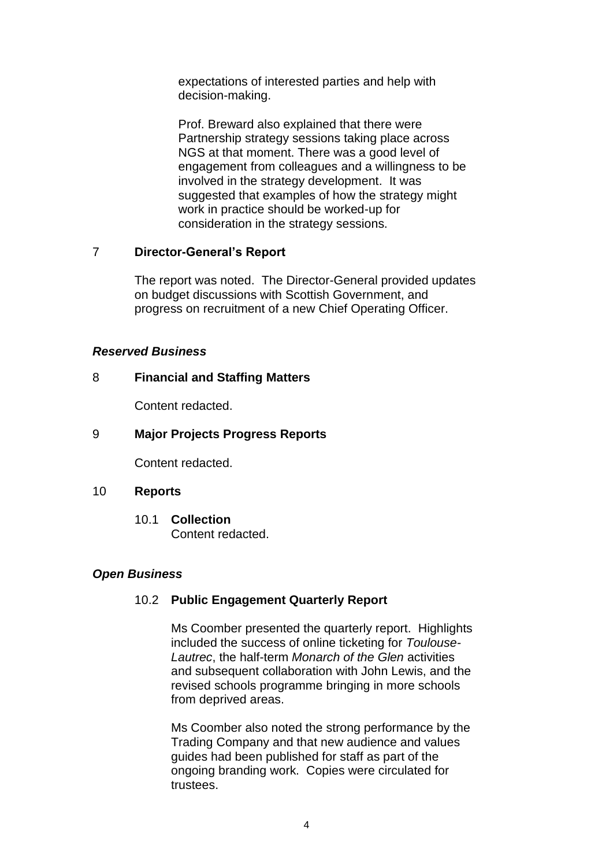expectations of interested parties and help with decision-making.

Prof. Breward also explained that there were Partnership strategy sessions taking place across NGS at that moment. There was a good level of engagement from colleagues and a willingness to be involved in the strategy development. It was suggested that examples of how the strategy might work in practice should be worked-up for consideration in the strategy sessions.

# 7 **Director-General's Report**

The report was noted. The Director-General provided updates on budget discussions with Scottish Government, and progress on recruitment of a new Chief Operating Officer.

### *Reserved Business*

# 8 **Financial and Staffing Matters**

Content redacted.

### 9 **Major Projects Progress Reports**

Content redacted.

### 10 **Reports**

10.1 **Collection** Content redacted.

# *Open Business*

# 10.2 **Public Engagement Quarterly Report**

Ms Coomber presented the quarterly report. Highlights included the success of online ticketing for *Toulouse-Lautrec*, the half-term *Monarch of the Glen* activities and subsequent collaboration with John Lewis, and the revised schools programme bringing in more schools from deprived areas.

Ms Coomber also noted the strong performance by the Trading Company and that new audience and values guides had been published for staff as part of the ongoing branding work. Copies were circulated for trustees.